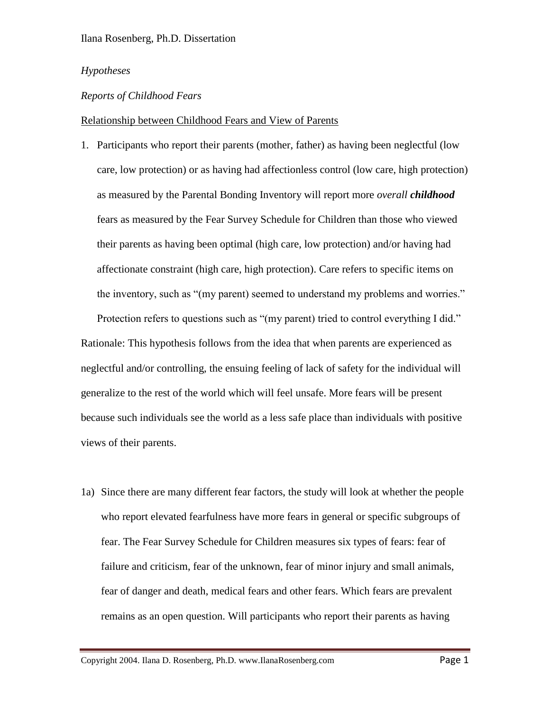# *Hypotheses*

# *Reports of Childhood Fears*

### Relationship between Childhood Fears and View of Parents

1. Participants who report their parents (mother, father) as having been neglectful (low care, low protection) or as having had affectionless control (low care, high protection) as measured by the Parental Bonding Inventory will report more *overall childhood* fears as measured by the Fear Survey Schedule for Children than those who viewed their parents as having been optimal (high care, low protection) and/or having had affectionate constraint (high care, high protection). Care refers to specific items on the inventory, such as "(my parent) seemed to understand my problems and worries."

Protection refers to questions such as "(my parent) tried to control everything I did." Rationale: This hypothesis follows from the idea that when parents are experienced as neglectful and/or controlling, the ensuing feeling of lack of safety for the individual will generalize to the rest of the world which will feel unsafe. More fears will be present because such individuals see the world as a less safe place than individuals with positive views of their parents.

1a) Since there are many different fear factors, the study will look at whether the people who report elevated fearfulness have more fears in general or specific subgroups of fear. The Fear Survey Schedule for Children measures six types of fears: fear of failure and criticism, fear of the unknown, fear of minor injury and small animals, fear of danger and death, medical fears and other fears. Which fears are prevalent remains as an open question. Will participants who report their parents as having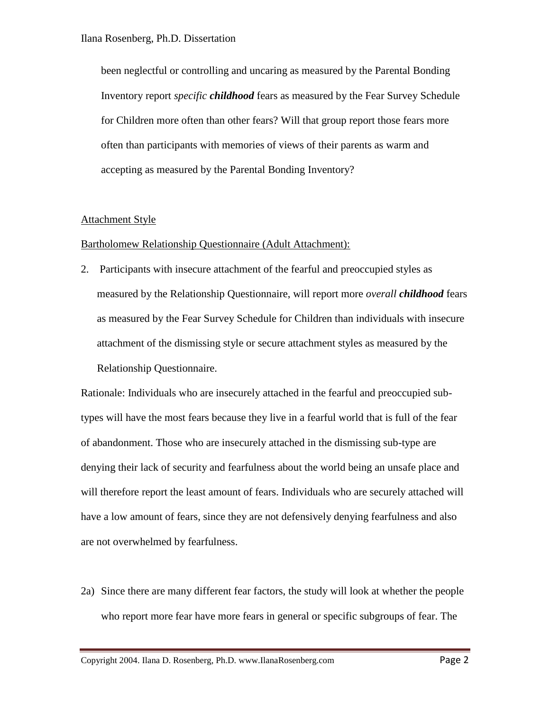been neglectful or controlling and uncaring as measured by the Parental Bonding Inventory report *specific childhood* fears as measured by the Fear Survey Schedule for Children more often than other fears? Will that group report those fears more often than participants with memories of views of their parents as warm and accepting as measured by the Parental Bonding Inventory?

# Attachment Style

# Bartholomew Relationship Questionnaire (Adult Attachment):

2. Participants with insecure attachment of the fearful and preoccupied styles as measured by the Relationship Questionnaire, will report more *overall childhood* fears as measured by the Fear Survey Schedule for Children than individuals with insecure attachment of the dismissing style or secure attachment styles as measured by the Relationship Questionnaire.

Rationale: Individuals who are insecurely attached in the fearful and preoccupied subtypes will have the most fears because they live in a fearful world that is full of the fear of abandonment. Those who are insecurely attached in the dismissing sub-type are denying their lack of security and fearfulness about the world being an unsafe place and will therefore report the least amount of fears. Individuals who are securely attached will have a low amount of fears, since they are not defensively denying fearfulness and also are not overwhelmed by fearfulness.

2a) Since there are many different fear factors, the study will look at whether the people who report more fear have more fears in general or specific subgroups of fear. The

Copyright 2004. Ilana D. Rosenberg, Ph.D. www.IlanaRosenberg.com Page 2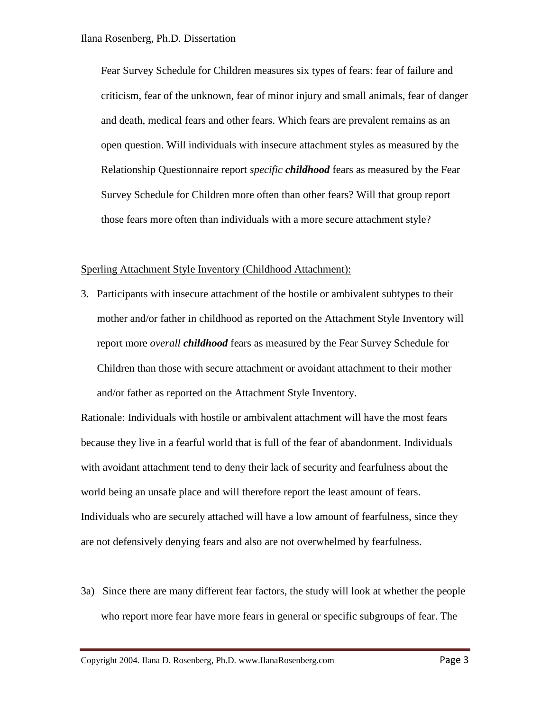Fear Survey Schedule for Children measures six types of fears: fear of failure and criticism, fear of the unknown, fear of minor injury and small animals, fear of danger and death, medical fears and other fears. Which fears are prevalent remains as an open question. Will individuals with insecure attachment styles as measured by the Relationship Questionnaire report *specific childhood* fears as measured by the Fear Survey Schedule for Children more often than other fears? Will that group report those fears more often than individuals with a more secure attachment style?

#### Sperling Attachment Style Inventory (Childhood Attachment):

3. Participants with insecure attachment of the hostile or ambivalent subtypes to their mother and/or father in childhood as reported on the Attachment Style Inventory will report more *overall childhood* fears as measured by the Fear Survey Schedule for Children than those with secure attachment or avoidant attachment to their mother and/or father as reported on the Attachment Style Inventory.

Rationale: Individuals with hostile or ambivalent attachment will have the most fears because they live in a fearful world that is full of the fear of abandonment. Individuals with avoidant attachment tend to deny their lack of security and fearfulness about the world being an unsafe place and will therefore report the least amount of fears. Individuals who are securely attached will have a low amount of fearfulness, since they are not defensively denying fears and also are not overwhelmed by fearfulness.

3a) Since there are many different fear factors, the study will look at whether the people who report more fear have more fears in general or specific subgroups of fear. The

Copyright 2004. Ilana D. Rosenberg, Ph.D. www.IlanaRosenberg.com Page 3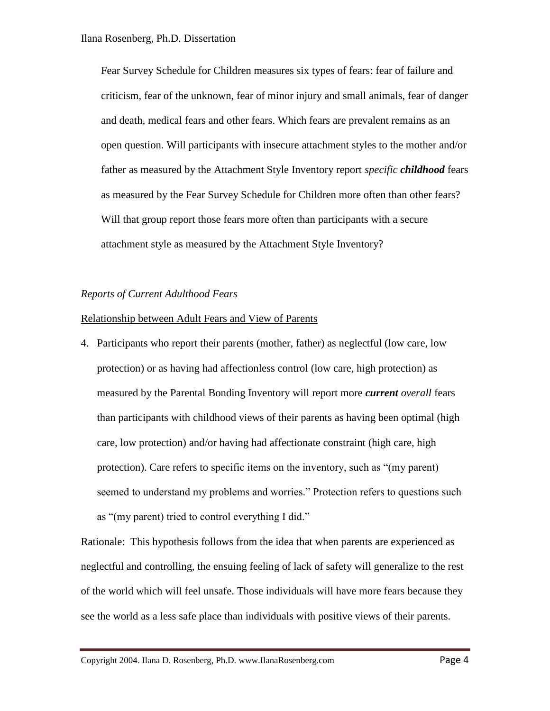Fear Survey Schedule for Children measures six types of fears: fear of failure and criticism, fear of the unknown, fear of minor injury and small animals, fear of danger and death, medical fears and other fears. Which fears are prevalent remains as an open question. Will participants with insecure attachment styles to the mother and/or father as measured by the Attachment Style Inventory report *specific childhood* fears as measured by the Fear Survey Schedule for Children more often than other fears? Will that group report those fears more often than participants with a secure attachment style as measured by the Attachment Style Inventory?

### *Reports of Current Adulthood Fears*

### Relationship between Adult Fears and View of Parents

4. Participants who report their parents (mother, father) as neglectful (low care, low protection) or as having had affectionless control (low care, high protection) as measured by the Parental Bonding Inventory will report more *current overall* fears than participants with childhood views of their parents as having been optimal (high care, low protection) and/or having had affectionate constraint (high care, high protection). Care refers to specific items on the inventory, such as "(my parent) seemed to understand my problems and worries." Protection refers to questions such as "(my parent) tried to control everything I did."

Rationale: This hypothesis follows from the idea that when parents are experienced as neglectful and controlling, the ensuing feeling of lack of safety will generalize to the rest of the world which will feel unsafe. Those individuals will have more fears because they see the world as a less safe place than individuals with positive views of their parents.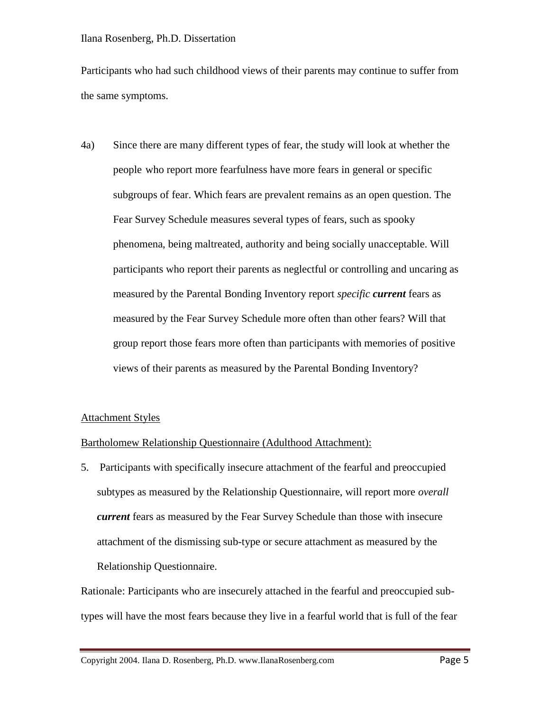#### Ilana Rosenberg, Ph.D. Dissertation

Participants who had such childhood views of their parents may continue to suffer from the same symptoms.

4a) Since there are many different types of fear, the study will look at whether the people who report more fearfulness have more fears in general or specific subgroups of fear. Which fears are prevalent remains as an open question. The Fear Survey Schedule measures several types of fears, such as spooky phenomena, being maltreated, authority and being socially unacceptable. Will participants who report their parents as neglectful or controlling and uncaring as measured by the Parental Bonding Inventory report *specific current* fears as measured by the Fear Survey Schedule more often than other fears? Will that group report those fears more often than participants with memories of positive views of their parents as measured by the Parental Bonding Inventory?

# Attachment Styles

# Bartholomew Relationship Questionnaire (Adulthood Attachment):

5. Participants with specifically insecure attachment of the fearful and preoccupied subtypes as measured by the Relationship Questionnaire, will report more *overall current* fears as measured by the Fear Survey Schedule than those with insecure attachment of the dismissing sub-type or secure attachment as measured by the Relationship Questionnaire.

Rationale: Participants who are insecurely attached in the fearful and preoccupied subtypes will have the most fears because they live in a fearful world that is full of the fear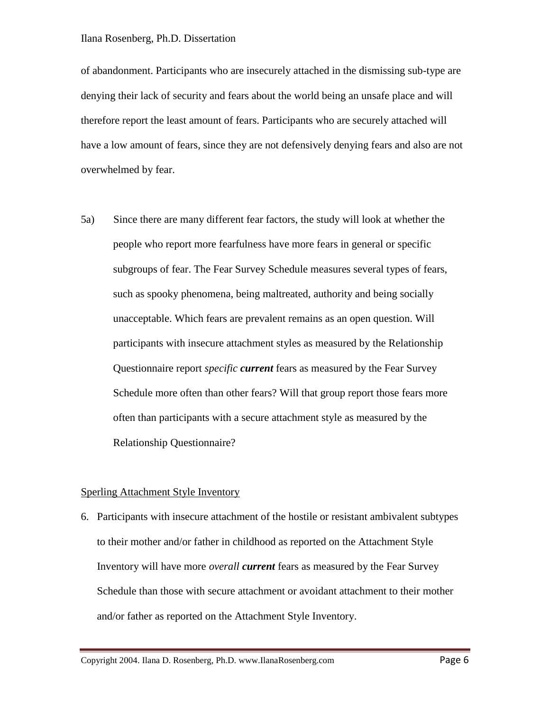of abandonment. Participants who are insecurely attached in the dismissing sub-type are denying their lack of security and fears about the world being an unsafe place and will therefore report the least amount of fears. Participants who are securely attached will have a low amount of fears, since they are not defensively denying fears and also are not overwhelmed by fear.

5a) Since there are many different fear factors, the study will look at whether the people who report more fearfulness have more fears in general or specific subgroups of fear. The Fear Survey Schedule measures several types of fears, such as spooky phenomena, being maltreated, authority and being socially unacceptable. Which fears are prevalent remains as an open question. Will participants with insecure attachment styles as measured by the Relationship Questionnaire report *specific current* fears as measured by the Fear Survey Schedule more often than other fears? Will that group report those fears more often than participants with a secure attachment style as measured by the Relationship Questionnaire?

#### Sperling Attachment Style Inventory

6. Participants with insecure attachment of the hostile or resistant ambivalent subtypes to their mother and/or father in childhood as reported on the Attachment Style Inventory will have more *overall current* fears as measured by the Fear Survey Schedule than those with secure attachment or avoidant attachment to their mother and/or father as reported on the Attachment Style Inventory.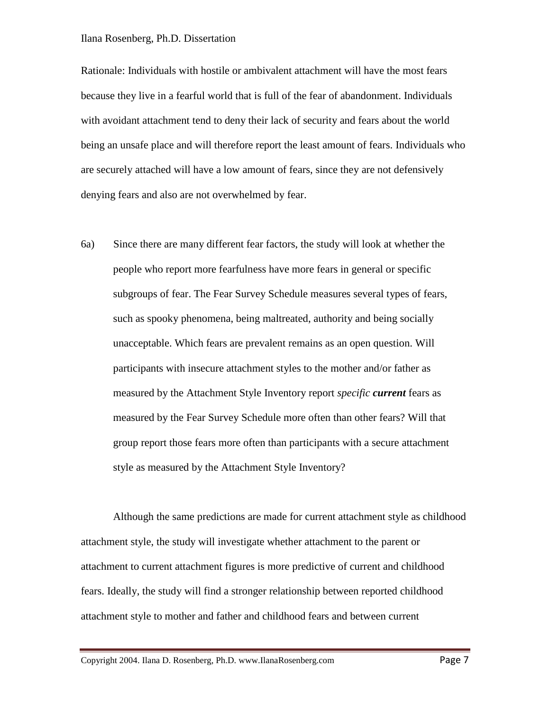#### Ilana Rosenberg, Ph.D. Dissertation

Rationale: Individuals with hostile or ambivalent attachment will have the most fears because they live in a fearful world that is full of the fear of abandonment. Individuals with avoidant attachment tend to deny their lack of security and fears about the world being an unsafe place and will therefore report the least amount of fears. Individuals who are securely attached will have a low amount of fears, since they are not defensively denying fears and also are not overwhelmed by fear.

6a) Since there are many different fear factors, the study will look at whether the people who report more fearfulness have more fears in general or specific subgroups of fear. The Fear Survey Schedule measures several types of fears, such as spooky phenomena, being maltreated, authority and being socially unacceptable. Which fears are prevalent remains as an open question. Will participants with insecure attachment styles to the mother and/or father as measured by the Attachment Style Inventory report *specific current* fears as measured by the Fear Survey Schedule more often than other fears? Will that group report those fears more often than participants with a secure attachment style as measured by the Attachment Style Inventory?

Although the same predictions are made for current attachment style as childhood attachment style, the study will investigate whether attachment to the parent or attachment to current attachment figures is more predictive of current and childhood fears. Ideally, the study will find a stronger relationship between reported childhood attachment style to mother and father and childhood fears and between current